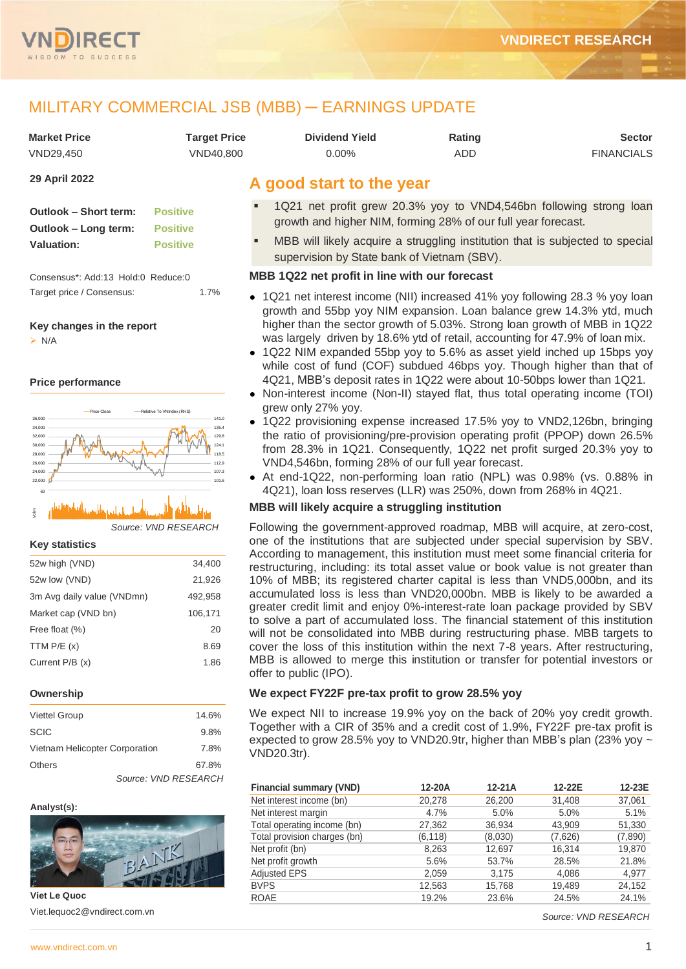

# MILITARY COMMERCIAL JSB (MBB) ─ EARNINGS UPDATE

| <b>Market Price</b> | Tarqet Price | <b>Dividend Yield</b> | Rating | <b>Sector</b>     |
|---------------------|--------------|-----------------------|--------|-------------------|
| VND29.450           | VND40.800    | 0.00%                 | ADD    | <b>FINANCIALS</b> |

## **29 April 2022**

| Outlook - Short term: | <b>Positive</b> |
|-----------------------|-----------------|
| Outlook – Long term:  | <b>Positive</b> |
| <b>Valuation:</b>     | <b>Positive</b> |

Consensus\*: Add:13 Hold:0 Reduce:0 Target price / Consensus: 1.7%

## **Key changes in the report**

➢ N/A

## **Price performance**



*Source: VND RESEARCH* 04-21 06-21 08-21 10-21 12-21 03-22 Vol m 20

## **Key statistics**

| 52w high (VND)             | 34,400  |
|----------------------------|---------|
| 52w low (VND)              | 21,926  |
| 3m Avg daily value (VNDmn) | 492,958 |
| Market cap (VND bn)        | 106,171 |
| Free float (%)             | 20      |
| TTM $P/E(x)$               | 8.69    |
| Current $P/B(x)$           | 1.86    |

## **Ownership**

| <b>Viettel Group</b>           |                      | 14.6% |
|--------------------------------|----------------------|-------|
| <b>SCIC</b>                    |                      | 9.8%  |
| Vietnam Helicopter Corporation |                      | 7.8%  |
| <b>Others</b>                  |                      | 67.8% |
|                                | Source: VND RESEARCH |       |

## **Analyst(s):**



**Viet Le Quoc** Viet.lequoc2@vndirect.com.vn

# **A good start to the year**

- 1Q21 net profit grew 20.3% yoy to VND4,546bn following strong loan growth and higher NIM, forming 28% of our full year forecast.
- MBB will likely acquire a struggling institution that is subjected to special supervision by State bank of Vietnam (SBV).

## **MBB 1Q22 net profit in line with our forecast**

- 1Q21 net interest income (NII) increased 41% yoy following 28.3 % yoy loan growth and 55bp yoy NIM expansion. Loan balance grew 14.3% ytd, much higher than the sector growth of 5.03%. Strong loan growth of MBB in 1Q22 was largely driven by 18.6% ytd of retail, accounting for 47.9% of loan mix.
- 1Q22 NIM expanded 55bp yoy to 5.6% as asset yield inched up 15bps yoy while cost of fund (COF) subdued 46bps yoy. Though higher than that of 4Q21, MBB's deposit rates in 1Q22 were about 10-50bps lower than 1Q21.
- Non-interest income (Non-II) stayed flat, thus total operating income (TOI) grew only 27% yoy.
- 1Q22 provisioning expense increased 17.5% yoy to VND2,126bn, bringing the ratio of provisioning/pre-provision operating profit (PPOP) down 26.5% from 28.3% in 1Q21. Consequently, 1Q22 net profit surged 20.3% yoy to VND4,546bn, forming 28% of our full year forecast.
- At end-1Q22, non-performing loan ratio (NPL) was 0.98% (vs. 0.88% in 4Q21), loan loss reserves (LLR) was 250%, down from 268% in 4Q21.

## **MBB will likely acquire a struggling institution**

Following the government-approved roadmap, MBB will acquire, at zero-cost, one of the institutions that are subjected under special supervision by SBV. According to management, this institution must meet some financial criteria for restructuring, including: its total asset value or book value is not greater than 10% of MBB; its registered charter capital is less than VND5,000bn, and its accumulated loss is less than VND20,000bn. MBB is likely to be awarded a greater credit limit and enjoy 0%-interest-rate loan package provided by SBV to solve a part of accumulated loss. The financial statement of this institution will not be consolidated into MBB during restructuring phase. MBB targets to cover the loss of this institution within the next 7-8 years. After restructuring, MBB is allowed to merge this institution or transfer for potential investors or offer to public (IPO).

## **We expect FY22F pre-tax profit to grow 28.5% yoy**

We expect NII to increase 19.9% yoy on the back of 20% yoy credit growth. Together with a CIR of 35% and a credit cost of 1.9%, FY22F pre-tax profit is expected to grow 28.5% yoy to VND20.9tr, higher than MBB's plan (23% yoy ~ VND20.3tr).

| <b>Financial summary (VND)</b> | 12-20A   | $12-21A$ | 12-22E  | 12-23E  |
|--------------------------------|----------|----------|---------|---------|
| Net interest income (bn)       | 20,278   | 26,200   | 31,408  | 37,061  |
| Net interest margin            | 4.7%     | 5.0%     | 5.0%    | 5.1%    |
| Total operating income (bn)    | 27,362   | 36,934   | 43,909  | 51,330  |
| Total provision charges (bn)   | (6, 118) | (8,030)  | (7,626) | (7,890) |
| Net profit (bn)                | 8,263    | 12,697   | 16,314  | 19,870  |
| Net profit growth              | 5.6%     | 53.7%    | 28.5%   | 21.8%   |
| <b>Adjusted EPS</b>            | 2,059    | 3,175    | 4,086   | 4,977   |
| <b>BVPS</b>                    | 12,563   | 15,768   | 19,489  | 24,152  |
| <b>ROAE</b>                    | 19.2%    | 23.6%    | 24.5%   | 24.1%   |

*Source: VND RESEARCH*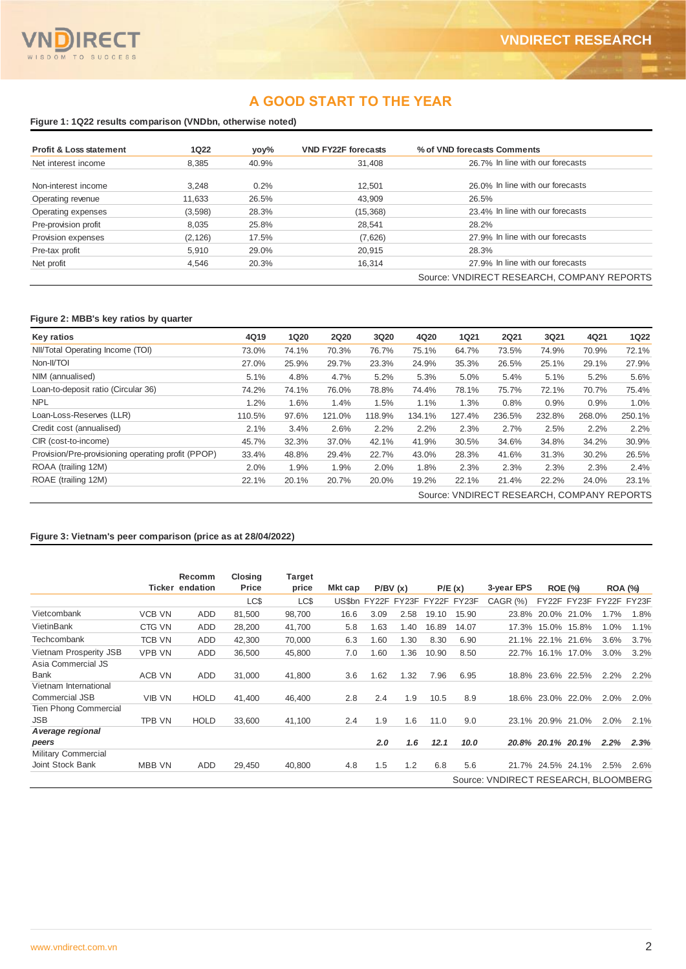# **A GOOD START TO THE YEAR**

## **Figure 1: 1Q22 results comparison (VNDbn, otherwise noted)**

| <b>Profit &amp; Loss statement</b> | <b>1Q22</b> | yoy%  | <b>VND FY22F forecasts</b> | % of VND forecasts Comments                |
|------------------------------------|-------------|-------|----------------------------|--------------------------------------------|
| Net interest income                | 8.385       | 40.9% | 31,408                     | 26.7% In line with our forecasts           |
| Non-interest income                | 3.248       | 0.2%  | 12.501                     | 26.0% In line with our forecasts           |
| Operating revenue                  | 11,633      | 26.5% | 43.909                     | 26.5%                                      |
| Operating expenses                 | (3,598)     | 28.3% | (15,368)                   | 23.4% In line with our forecasts           |
| Pre-provision profit               | 8.035       | 25.8% | 28.541                     | 28.2%                                      |
| Provision expenses                 | (2, 126)    | 17.5% | (7,626)                    | 27.9% In line with our forecasts           |
| Pre-tax profit                     | 5.910       | 29.0% | 20.915                     | 28.3%                                      |
| Net profit                         | 4,546       | 20.3% | 16,314                     | 27.9% In line with our forecasts           |
|                                    |             |       |                            | Source: VNDIRECT RESEARCH, COMPANY REPORTS |

## **Figure 2: MBB's key ratios by quarter**

| Key ratios                                         | 4Q19   | <b>1Q20</b> | <b>2Q20</b> | 3Q20   | 4Q20   | <b>1Q21</b> | <b>2Q21</b> | 3Q21   | 4Q21                                       | <b>1Q22</b> |
|----------------------------------------------------|--------|-------------|-------------|--------|--------|-------------|-------------|--------|--------------------------------------------|-------------|
| NII/Total Operating Income (TOI)                   | 73.0%  | 74.1%       | 70.3%       | 76.7%  | 75.1%  | 64.7%       | 73.5%       | 74.9%  | 70.9%                                      | 72.1%       |
| Non-II/TOI                                         | 27.0%  | 25.9%       | 29.7%       | 23.3%  | 24.9%  | 35.3%       | 26.5%       | 25.1%  | 29.1%                                      | 27.9%       |
| NIM (annualised)                                   | 5.1%   | 4.8%        | 4.7%        | 5.2%   | 5.3%   | 5.0%        | 5.4%        | 5.1%   | 5.2%                                       | 5.6%        |
| Loan-to-deposit ratio (Circular 36)                | 74.2%  | 74.1%       | 76.0%       | 78.8%  | 74.4%  | 78.1%       | 75.7%       | 72.1%  | 70.7%                                      | 75.4%       |
| <b>NPL</b>                                         | 1.2%   | 1.6%        | 1.4%        | 1.5%   | 1.1%   | 1.3%        | 0.8%        | 0.9%   | 0.9%                                       | 1.0%        |
| Loan-Loss-Reserves (LLR)                           | 110.5% | 97.6%       | 121.0%      | 118.9% | 134.1% | 127.4%      | 236.5%      | 232.8% | 268.0%                                     | 250.1%      |
| Credit cost (annualised)                           | 2.1%   | 3.4%        | 2.6%        | 2.2%   | 2.2%   | 2.3%        | 2.7%        | 2.5%   | 2.2%                                       | 2.2%        |
| CIR (cost-to-income)                               | 45.7%  | 32.3%       | 37.0%       | 42.1%  | 41.9%  | 30.5%       | 34.6%       | 34.8%  | 34.2%                                      | 30.9%       |
| Provision/Pre-provisioning operating profit (PPOP) | 33.4%  | 48.8%       | 29.4%       | 22.7%  | 43.0%  | 28.3%       | 41.6%       | 31.3%  | 30.2%                                      | 26.5%       |
| ROAA (trailing 12M)                                | 2.0%   | 1.9%        | 1.9%        | 2.0%   | 1.8%   | 2.3%        | 2.3%        | 2.3%   | 2.3%                                       | 2.4%        |
| ROAE (trailing 12M)                                | 22.1%  | 20.1%       | 20.7%       | 20.0%  | 19.2%  | 22.1%       | 21.4%       | 22.2%  | 24.0%                                      | 23.1%       |
|                                                    |        |             |             |        |        |             |             |        | Source: VNDIRECT RESEARCH, COMPANY REPORTS |             |

## **Figure 3: Vietnam's peer comparison (price as at 28/04/2022)**

|                              |               | Recomm<br><b>Ticker endation</b> | Closina<br>Price | Target<br>price | Mkt cap |      | P/BV(x) |       | P/E(x)                         | 3-year EPS                           |                   | <b>ROE (%)</b> |      |                         |
|------------------------------|---------------|----------------------------------|------------------|-----------------|---------|------|---------|-------|--------------------------------|--------------------------------------|-------------------|----------------|------|-------------------------|
|                              |               |                                  |                  |                 |         |      |         |       |                                |                                      |                   |                |      | <b>ROA (%)</b>          |
|                              |               |                                  | LC\$             | LC\$            |         |      |         |       | US\$bn FY22F FY23F FY22F FY23F | <b>CAGR (%)</b>                      |                   |                |      | FY22F FY23F FY22F FY23F |
| Vietcombank                  | <b>VCB VN</b> | ADD                              | 81,500           | 98,700          | 16.6    | 3.09 | 2.58    | 19.10 | 15.90                          |                                      | 23.8% 20.0% 21.0% |                | 1.7% | 1.8%                    |
| VietinBank                   | CTG VN        | ADD                              | 28,200           | 41,700          | 5.8     | 1.63 | 1.40    | 16.89 | 14.07                          |                                      | 17.3% 15.0% 15.8% |                | 1.0% | 1.1%                    |
| Techcombank                  | <b>TCB VN</b> | <b>ADD</b>                       | 42.300           | 70,000          | 6.3     | 1.60 | 1.30    | 8.30  | 6.90                           |                                      | 21.1% 22.1% 21.6% |                | 3.6% | 3.7%                    |
| Vietnam Prosperity JSB       | <b>VPB VN</b> | <b>ADD</b>                       | 36.500           | 45,800          | 7.0     | 1.60 | 1.36    | 10.90 | 8.50                           |                                      | 22.7% 16.1% 17.0% |                | 3.0% | 3.2%                    |
| Asia Commercial JS           |               |                                  |                  |                 |         |      |         |       |                                |                                      |                   |                |      |                         |
| <b>Bank</b>                  | <b>ACB VN</b> | ADD                              | 31,000           | 41,800          | 3.6     | 1.62 | 1.32    | 7.96  | 6.95                           |                                      | 18.8% 23.6% 22.5% |                | 2.2% | 2.2%                    |
| Vietnam International        |               |                                  |                  |                 |         |      |         |       |                                |                                      |                   |                |      |                         |
| Commercial JSB               | <b>VIB VN</b> | <b>HOLD</b>                      | 41,400           | 46,400          | 2.8     | 2.4  | 1.9     | 10.5  | 8.9                            |                                      | 18.6% 23.0% 22.0% |                | 2.0% | 2.0%                    |
| <b>Tien Phong Commercial</b> |               |                                  |                  |                 |         |      |         |       |                                |                                      |                   |                |      |                         |
| <b>JSB</b>                   | <b>TPB VN</b> | <b>HOLD</b>                      | 33,600           | 41,100          | 2.4     | 1.9  | 1.6     | 11.0  | 9.0                            |                                      | 23.1% 20.9% 21.0% |                | 2.0% | 2.1%                    |
| A verage regional            |               |                                  |                  |                 |         |      |         |       |                                |                                      |                   |                |      |                         |
| peers                        |               |                                  |                  |                 |         | 2.0  | 1.6     | 12.1  | 10.0                           |                                      | 20.8% 20.1% 20.1% |                | 2.2% | 2.3%                    |
| <b>Military Commercial</b>   |               |                                  |                  |                 |         |      |         |       |                                |                                      |                   |                |      |                         |
| Joint Stock Bank             | <b>MBB VN</b> | <b>ADD</b>                       | 29.450           | 40,800          | 4.8     | 1.5  | 1.2     | 6.8   | 5.6                            |                                      | 21.7% 24.5% 24.1% |                | 2.5% | 2.6%                    |
|                              |               |                                  |                  |                 |         |      |         |       |                                | Source: VNDIRECT RESEARCH, BLOOMBERG |                   |                |      |                         |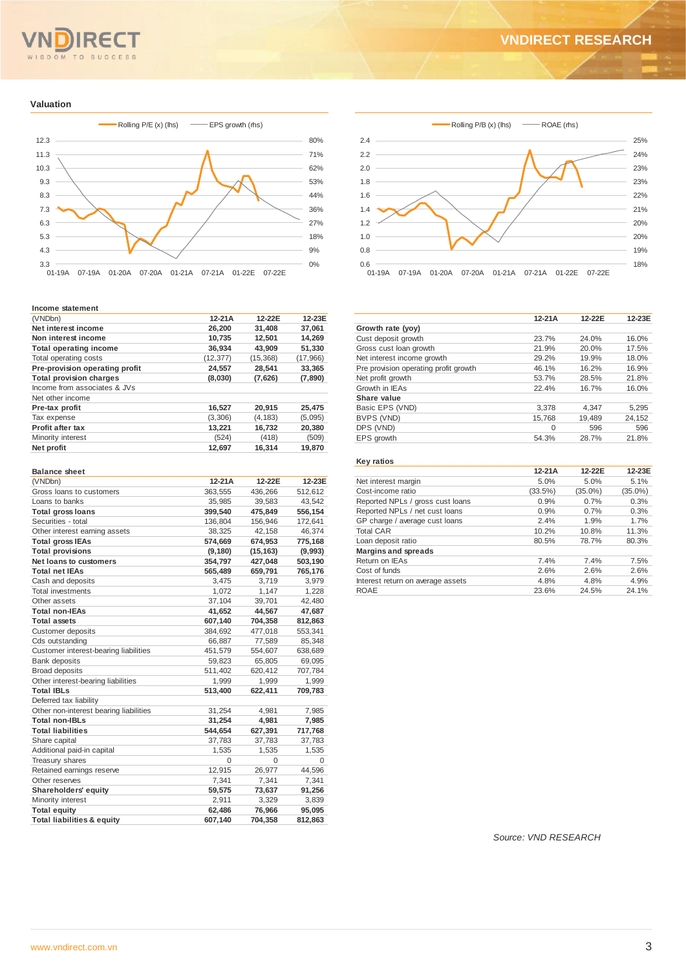# OM TO SUCCESS SD

# **VNDIRECT RESEARCH**

### **Valuation**



### **Income statement**

| (VNDbn)                        | $12-21A$  | 12-22E    | 12-23E   |
|--------------------------------|-----------|-----------|----------|
| Net interest income            | 26.200    | 31,408    | 37.061   |
| Non interest income            | 10,735    | 12,501    | 14,269   |
| <b>Total operating income</b>  | 36.934    | 43,909    | 51,330   |
| Total operating costs          | (12, 377) | (15, 368) | (17,966) |
| Pre-provision operating profit | 24,557    | 28,541    | 33,365   |
| <b>Total provision charges</b> | (8,030)   | (7,626)   | (7,890)  |
| Income from associates & JVs   |           |           |          |
| Net other income               |           |           |          |
| Pre-tax profit                 | 16,527    | 20.915    | 25,475   |
| Tax expense                    | (3,306)   | (4.183)   | (5,095)  |
| <b>Profit after tax</b>        | 13,221    | 16,732    | 20,380   |
| Minority interest              | (524)     | (418)     | (509)    |
| Net profit                     | 12,697    | 16,314    | 19,870   |

| <b>Balance sheet</b>                   |          |           |         |
|----------------------------------------|----------|-----------|---------|
| (VNDbn)                                | $12-21A$ | 12-22E    | 12-23E  |
| Gross loans to customers               | 363,555  | 436,266   | 512,612 |
| Loans to banks                         | 35,985   | 39,583    | 43,542  |
| <b>Total gross loans</b>               | 399,540  | 475,849   | 556,154 |
| Securities - total                     | 136,804  | 156,946   | 172,641 |
| Other interest earning assets          | 38,325   | 42,158    | 46,374  |
| <b>Total gross IEAs</b>                | 574,669  | 674,953   | 775,168 |
| <b>Total provisions</b>                | (9, 180) | (15, 163) | (9,993) |
| <b>Net loans to customers</b>          | 354,797  | 427,048   | 503,190 |
| <b>Total net IEAs</b>                  | 565,489  | 659,791   | 765,176 |
| Cash and deposits                      | 3,475    | 3,719     | 3,979   |
| <b>Total investments</b>               | 1,072    | 1,147     | 1,228   |
| Other assets                           | 37,104   | 39,701    | 42,480  |
| <b>Total non-IEAs</b>                  | 41,652   | 44,567    | 47,687  |
| <b>Total assets</b>                    | 607,140  | 704,358   | 812,863 |
| Customer deposits                      | 384,692  | 477,018   | 553,341 |
| Cds outstanding                        | 66,887   | 77,589    | 85,348  |
| Customer interest-bearing liabilities  | 451,579  | 554,607   | 638,689 |
| <b>Bank deposits</b>                   | 59,823   | 65,805    | 69,095  |
| <b>Broad deposits</b>                  | 511,402  | 620,412   | 707,784 |
| Other interest-bearing liabilities     | 1,999    | 1,999     | 1,999   |
| <b>Total IBLs</b>                      | 513,400  | 622,411   | 709,783 |
| Deferred tax liability                 |          |           |         |
| Other non-interest bearing liabilities | 31,254   | 4,981     | 7,985   |
| <b>Total non-IBLs</b>                  | 31,254   | 4,981     | 7,985   |
| <b>Total liabilities</b>               | 544,654  | 627,391   | 717,768 |
| Share capital                          | 37,783   | 37,783    | 37,783  |
| Additional paid-in capital             | 1,535    | 1,535     | 1,535   |
| <b>Treasury shares</b>                 | $\Omega$ | 0         | 0       |
| Retained earnings reserve              | 12,915   | 26,977    | 44,596  |
| Other reserves                         | 7,341    | 7,341     | 7,341   |
| Shareholders' equity                   | 59,575   | 73,637    | 91,256  |
| Minority interest                      | 2,911    | 3,329     | 3,839   |
| <b>Total equity</b>                    | 62,486   | 76,966    | 95,095  |
| <b>Total liabilities &amp; equity</b>  | 607,140  | 704,358   | 812,863 |



|                                       | $12-21A$ | 12-22E | 12-23E |
|---------------------------------------|----------|--------|--------|
| Growth rate (yoy)                     |          |        |        |
| Cust deposit growth                   | 23.7%    | 24.0%  | 16.0%  |
| Gross cust loan growth                | 21.9%    | 20.0%  | 17.5%  |
| Net interest income growth            | 29.2%    | 19.9%  | 18.0%  |
| Pre provision operating profit growth | 46.1%    | 16.2%  | 16.9%  |
| Net profit growth                     | 53.7%    | 28.5%  | 21.8%  |
| Growth in IEAs                        | 22.4%    | 16.7%  | 16.0%  |
| Share value                           |          |        |        |
| Basic EPS (VND)                       | 3,378    | 4,347  | 5,295  |
| BVPS (VND)                            | 15.768   | 19.489 | 24,152 |
| DPS (VND)                             | $\Omega$ | 596    | 596    |
| EPS growth                            | 54.3%    | 28.7%  | 21.8%  |
|                                       |          |        |        |

### **Key ratios**

|                                   | $12-21A$ | 12-22E     | 12-23E     |
|-----------------------------------|----------|------------|------------|
| Net interest margin               | 5.0%     | 5.0%       | 5.1%       |
| Cost-income ratio                 | (33.5%)  | $(35.0\%)$ | $(35.0\%)$ |
| Reported NPLs / gross cust loans  | 0.9%     | 0.7%       | 0.3%       |
| Reported NPLs / net cust loans    | 0.9%     | 0.7%       | 0.3%       |
| GP charge / average cust loans    | 2.4%     | 1.9%       | 1.7%       |
| <b>Total CAR</b>                  | 10.2%    | 10.8%      | 11.3%      |
| Loan deposit ratio                | 80.5%    | 78.7%      | 80.3%      |
| <b>Margins and spreads</b>        |          |            |            |
| Return on IEAs                    | 7.4%     | 7.4%       | 7.5%       |
| Cost of funds                     | 2.6%     | 2.6%       | 2.6%       |
| Interest return on average assets | 4.8%     | 4.8%       | 4.9%       |
| <b>ROAE</b>                       | 23.6%    | 24.5%      | 24.1%      |

*Source: VND RESEARCH*